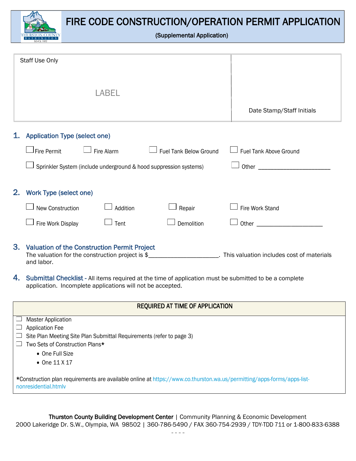

|    | Staff Use Only                       |                                                                                                         |                                                                   |                                                                                                                                                                                                                                    |
|----|--------------------------------------|---------------------------------------------------------------------------------------------------------|-------------------------------------------------------------------|------------------------------------------------------------------------------------------------------------------------------------------------------------------------------------------------------------------------------------|
|    |                                      | LABEL                                                                                                   |                                                                   | Date Stamp/Staff Initials                                                                                                                                                                                                          |
|    |                                      |                                                                                                         |                                                                   |                                                                                                                                                                                                                                    |
| 1. | <b>Application Type (select one)</b> |                                                                                                         |                                                                   |                                                                                                                                                                                                                                    |
|    | Fire Permit                          | Fire Alarm                                                                                              | <b>Fuel Tank Below Ground</b>                                     | Fuel Tank Above Ground                                                                                                                                                                                                             |
|    |                                      |                                                                                                         | Sprinkler System (include underground & hood suppression systems) | <b>Other Contract Contract Contract Contract Contract Contract Contract Contract Contract Contract Contract Contract Contract Contract Contract Contract Contract Contract Contract Contract Contract Contract Contract Contra</b> |
| 2. | <b>Work Type (select one)</b>        |                                                                                                         |                                                                   |                                                                                                                                                                                                                                    |
|    | New Construction                     | Addition                                                                                                | Repair                                                            | Fire Work Stand                                                                                                                                                                                                                    |
|    | Fire Work Display                    | Tent                                                                                                    | Demolition                                                        | Other                                                                                                                                                                                                                              |
| 3. | and labor.                           | <b>Valuation of the Construction Permit Project</b><br>The valuation for the construction project is \$ |                                                                   | This valuation includes cost of materials                                                                                                                                                                                          |

4. Submittal Checklist - All items required at the time of application must be submitted to be a complete application. Incomplete applications will not be accepted.

|  | <b>REQUIRED AT TIME OF APPLICATION</b> |  |
|--|----------------------------------------|--|
|--|----------------------------------------|--|

 $\Box$  Master Application  $\Box$  Application Fee  $\Box$  Site Plan Meeting Site Plan Submittal Requirements (refer to page 3)  $\Box$  Two Sets of Construction Plans\* • One Full Size • One 11 X 17 \*Construction plan requirements are available online at [https://www.co.thurston.wa.us/permitting/apps-forms/apps-list](https://www.co.thurston.wa.us/permitting/apps-forms/apps-list-nonresidential.htmlv)[nonresidential.htmlv](https://www.co.thurston.wa.us/permitting/apps-forms/apps-list-nonresidential.htmlv)

Thurston County Building Development Center | Community Planning & Economic Development Thurston County Building Development Center | Community Planning & Economic Development 2000 Lakeridge Dr. S.W., Olympia, WA 98502 | 360-786-5490 / FAX 360-754-2939 / TDY-TDD 711 or 1-800-833- 2000 Lakeridge Dr. S.W., Olympia, WA 98502 | 360-786-5490 / FAX 360-754-2939 / TDY-TDD 711 or 1-800-833-6388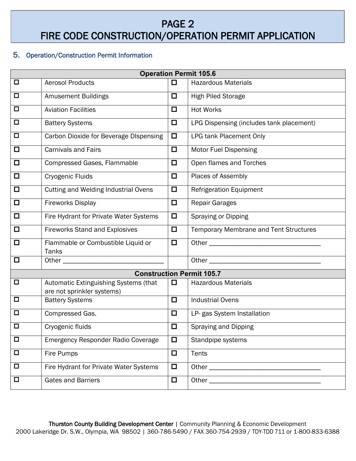# PAGE 2 FIRE CODE CONSTRUCTION/OPERATION PERMIT APPLICATION

#### 5. Operation/Construction Permit Information

| <b>Operation Permit 105.6</b>    |                                                                     |        |                                                                                                               |  |  |
|----------------------------------|---------------------------------------------------------------------|--------|---------------------------------------------------------------------------------------------------------------|--|--|
| $\Box$                           | <b>Aerosol Products</b>                                             | □      | <b>Hazardous Materials</b>                                                                                    |  |  |
| $\Box$                           | <b>Amusement Buildings</b>                                          | $\Box$ | <b>High Piled Storage</b>                                                                                     |  |  |
| $\Box$                           | <b>Aviation Facilities</b>                                          | $\Box$ | <b>Hot Works</b>                                                                                              |  |  |
| $\Box$                           | <b>Battery Systems</b>                                              | $\Box$ | LPG Dispensing (includes tank placement)                                                                      |  |  |
| $\Box$                           | Carbon Dioxide for Beverage DIspensing                              | $\Box$ | <b>LPG tank Placement Only</b>                                                                                |  |  |
| $\Box$                           | <b>Carnivals and Fairs</b>                                          | $\Box$ | <b>Motor Fuel Dispensing</b>                                                                                  |  |  |
| $\Box$                           | Compressed Gases, Flammable                                         | $\Box$ | Open flames and Torches                                                                                       |  |  |
| $\Box$                           | Cryogenic Fluids                                                    | $\Box$ | Places of Assembly                                                                                            |  |  |
| $\Box$                           | <b>Cutting and Welding Industrial Ovens</b>                         | $\Box$ | <b>Refrigeration Equipment</b>                                                                                |  |  |
| $\Box$                           | <b>Fireworks Display</b>                                            | $\Box$ | <b>Repair Garages</b>                                                                                         |  |  |
| $\Box$                           | Fire Hydrant for Private Water Systems                              | $\Box$ | <b>Spraying or Dipping</b>                                                                                    |  |  |
| $\Box$                           | <b>Fireworks Stand and Explosives</b>                               | $\Box$ | <b>Temporary Membrane and Tent Structures</b>                                                                 |  |  |
| $\Box$                           | Flammable or Combustible Liquid or<br><b>Tanks</b>                  | $\Box$ | Other and the contract of the contract of the contract of the contract of the contract of the contract of the |  |  |
| $\Box$                           | Other _                                                             |        |                                                                                                               |  |  |
| <b>Construction Permit 105.7</b> |                                                                     |        |                                                                                                               |  |  |
| $\Box$                           | Automatic Extinguishing Systems (that<br>are not sprinkler systems) | $\Box$ | <b>Hazardous Materials</b>                                                                                    |  |  |
| $\Box$                           | <b>Battery Systems</b>                                              | $\Box$ | <b>Industrial Ovens</b>                                                                                       |  |  |
| $\Box$                           | Compressed Gas.                                                     | $\Box$ | LP- gas System Installation                                                                                   |  |  |
| $\Box$                           | Cryogenic fluids                                                    | $\Box$ | Spraying and Dipping                                                                                          |  |  |
| $\Box$                           | Emergency Responder Radio Coverage                                  | $\Box$ | Standpipe systems                                                                                             |  |  |
| $\Box$                           | Fire Pumps                                                          | $\Box$ | <b>Tents</b>                                                                                                  |  |  |
| $\Box$                           | Fire Hydrant for Private Water Systems                              | $\Box$ |                                                                                                               |  |  |
| $\Box$                           | <b>Gates and Barriers</b>                                           | $\Box$ |                                                                                                               |  |  |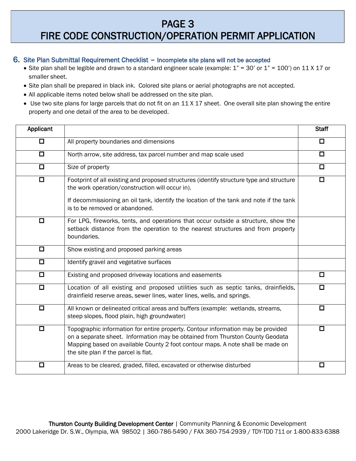## PAGE 3 FIRE CODE CONSTRUCTION/OPERATION PERMIT APPLICATION

#### 6. Site Plan Submittal Requirement Checklist – Incomplete site plans will not be accepted

- Site plan shall be legible and drawn to a standard engineer scale (example:  $1" = 30'$  or  $1" = 100'$ ) on  $11 X 17$  or smaller sheet.
- Site plan shall be prepared in black ink. Colored site plans or aerial photographs are not accepted.
- All applicable items noted below shall be addressed on the site plan.
- Use two site plans for large parcels that do not fit on an 11 X 17 sheet. One overall site plan showing the entire property and one detail of the area to be developed.

| <b>Applicant</b> |                                                                                                                                                                                                                                                                                             | <b>Staff</b> |
|------------------|---------------------------------------------------------------------------------------------------------------------------------------------------------------------------------------------------------------------------------------------------------------------------------------------|--------------|
| $\Box$           | All property boundaries and dimensions                                                                                                                                                                                                                                                      | $\Box$       |
| $\Box$           | North arrow, site address, tax parcel number and map scale used                                                                                                                                                                                                                             | $\Box$       |
| ◻                | Size of property                                                                                                                                                                                                                                                                            | $\Box$       |
| $\Box$           | Footprint of all existing and proposed structures (identify structure type and structure<br>the work operation/construction will occur in).<br>If decommissioning an oil tank, identify the location of the tank and note if the tank<br>is to be removed or abandoned.                     | ◘            |
| $\Box$           | For LPG, fireworks, tents, and operations that occur outside a structure, show the<br>setback distance from the operation to the nearest structures and from property<br>boundaries.                                                                                                        |              |
| $\Box$           | Show existing and proposed parking areas                                                                                                                                                                                                                                                    |              |
| $\Box$           | Identify gravel and vegetative surfaces                                                                                                                                                                                                                                                     |              |
| $\Box$           | Existing and proposed driveway locations and easements                                                                                                                                                                                                                                      | $\Box$       |
| $\Box$           | Location of all existing and proposed utilities such as septic tanks, drainfields,<br>drainfield reserve areas, sewer lines, water lines, wells, and springs.                                                                                                                               | $\Box$       |
| $\Box$           | All known or delineated critical areas and buffers (example: wetlands, streams,<br>steep slopes, flood plain, high groundwater)                                                                                                                                                             | $\Box$       |
| $\Box$           | Topographic information for entire property. Contour information may be provided<br>on a separate sheet. Information may be obtained from Thurston County Geodata<br>Mapping based on available County 2 foot contour maps. A note shall be made on<br>the site plan if the parcel is flat. | □            |
| □                | Areas to be cleared, graded, filled, excavated or otherwise disturbed                                                                                                                                                                                                                       | ◻            |